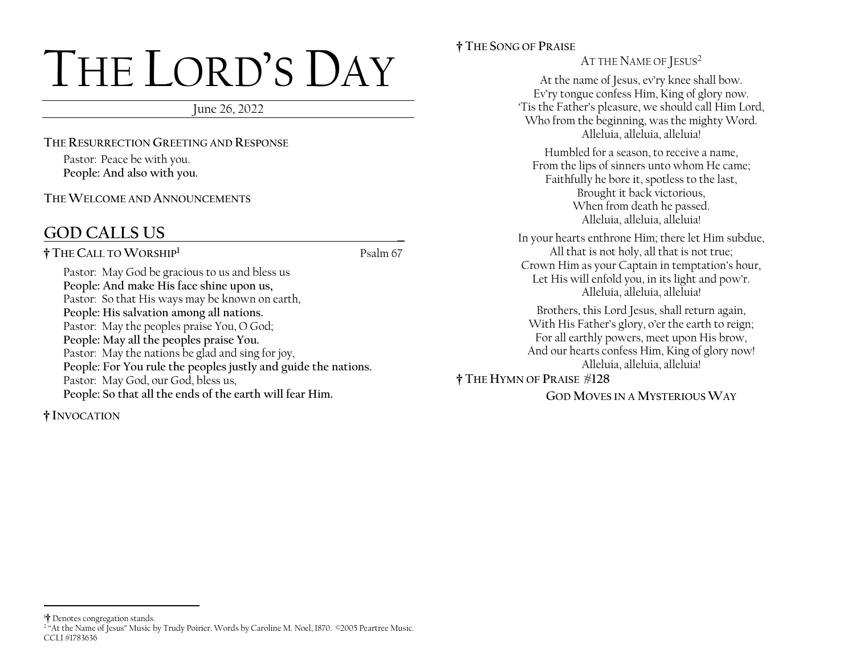# THE LORD'S DAY

June 26, 2022

**THE RESURRECTION GREETING AND RESPONSE**

Pastor: Peace be with you. **People: And also with you.** 

**THE WELCOME AND ANNOUNCEMENTS**

## **GOD CALLS US \_**

**† THE CALL TO WORSHIP<sup>1</sup>**

Psalm 67

Pastor: May God be gracious to us and bless us **People: And make His face shine upon us,** Pastor: So that His ways may be known on earth, **People: His salvation among all nations.** Pastor: May the peoples praise You, O God; **People: May all the peoples praise You.** Pastor: May the nations be glad and sing for joy, **People: For You rule the peoples justly and guide the nations.** Pastor: May God, our God, bless us, **People: So that all the ends of the earth will fear Him.**

#### **† INVOCATION**

**† THE SONG OF PRAISE**

AT THE NAME OF JESUS<sup>2</sup>

At the name of Jesus, ev'ry knee shall bow. Ev'ry tongue confess Him, King of glory now. 'Tis the Father's pleasure, we should call Him Lord, Who from the beginning, was the mighty Word. Alleluia, alleluia, alleluia!

Humbled for a season, to receive a name, From the lips of sinners unto whom He came; Faithfully he bore it, spotless to the last, Brought it back victorious, When from death he passed. Alleluia, alleluia, alleluia!

In your hearts enthrone Him; there let Him subdue, All that is not holy, all that is not true; Crown Him as your Captain in temptation's hour, Let His will enfold you, in its light and pow'r. Alleluia, alleluia, alleluia!

Brothers, this Lord Jesus, shall return again, With His Father's glory, o'er the earth to reign; For all earthly powers, meet upon His brow, And our hearts confess Him, King of glory now! Alleluia, alleluia, alleluia!

#### **† THE HYMN OF PRAISE #128**

**GOD MOVES IN A MYSTERIOUS WAY**

<sup>1</sup>**†** Denotes congregation stands.

<sup>2</sup> "At the Name of Jesus" Music by Trudy Poirier. Words by Caroline M. Noel, 1870. ©2005 Peartree Music. CCLI #1783636